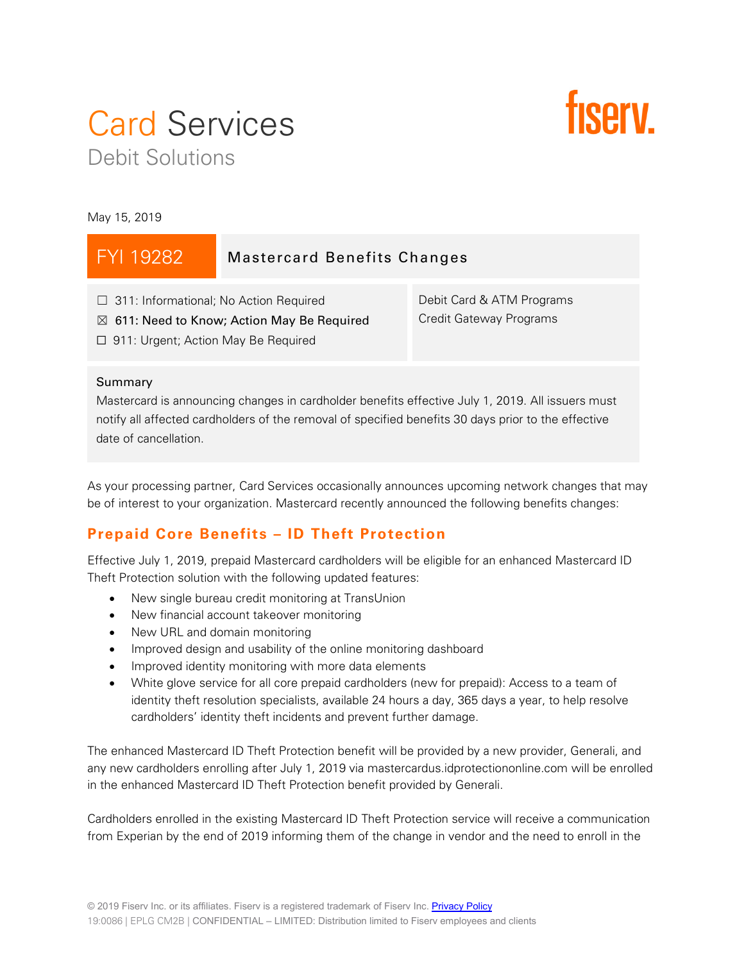# Card Services Debit Solutions



May 15, 2019

| FYI 19282                                                                                                                                            | <b>Mastercard Benefits Changes</b> |                                                      |
|------------------------------------------------------------------------------------------------------------------------------------------------------|------------------------------------|------------------------------------------------------|
| $\Box$ 311: Informational; No Action Required<br>$\boxtimes$ 611: Need to Know; Action May Be Required<br>$\Box$ 911: Urgent; Action May Be Required |                                    | Debit Card & ATM Programs<br>Credit Gateway Programs |

#### Summary

Mastercard is announcing changes in cardholder benefits effective July 1, 2019. All issuers must notify all affected cardholders of the removal of specified benefits 30 days prior to the effective date of cancellation.

As your processing partner, Card Services occasionally announces upcoming network changes that may be of interest to your organization. Mastercard recently announced the following benefits changes:

## **Prepaid Core Benefits – ID Theft Protection**

Effective July 1, 2019, prepaid Mastercard cardholders will be eligible for an enhanced Mastercard ID Theft Protection solution with the following updated features:

- New single bureau credit monitoring at TransUnion
- New financial account takeover monitoring
- New URL and domain monitoring
- Improved design and usability of the online monitoring dashboard
- Improved identity monitoring with more data elements
- White glove service for all core prepaid cardholders (new for prepaid): Access to a team of identity theft resolution specialists, available 24 hours a day, 365 days a year, to help resolve cardholders' identity theft incidents and prevent further damage.

The enhanced Mastercard ID Theft Protection benefit will be provided by a new provider, Generali, and any new cardholders enrolling after July 1, 2019 via mastercardus.idprotectiononline.com will be enrolled in the enhanced Mastercard ID Theft Protection benefit provided by Generali.

Cardholders enrolled in the existing Mastercard ID Theft Protection service will receive a communication from Experian by the end of 2019 informing them of the change in vendor and the need to enroll in the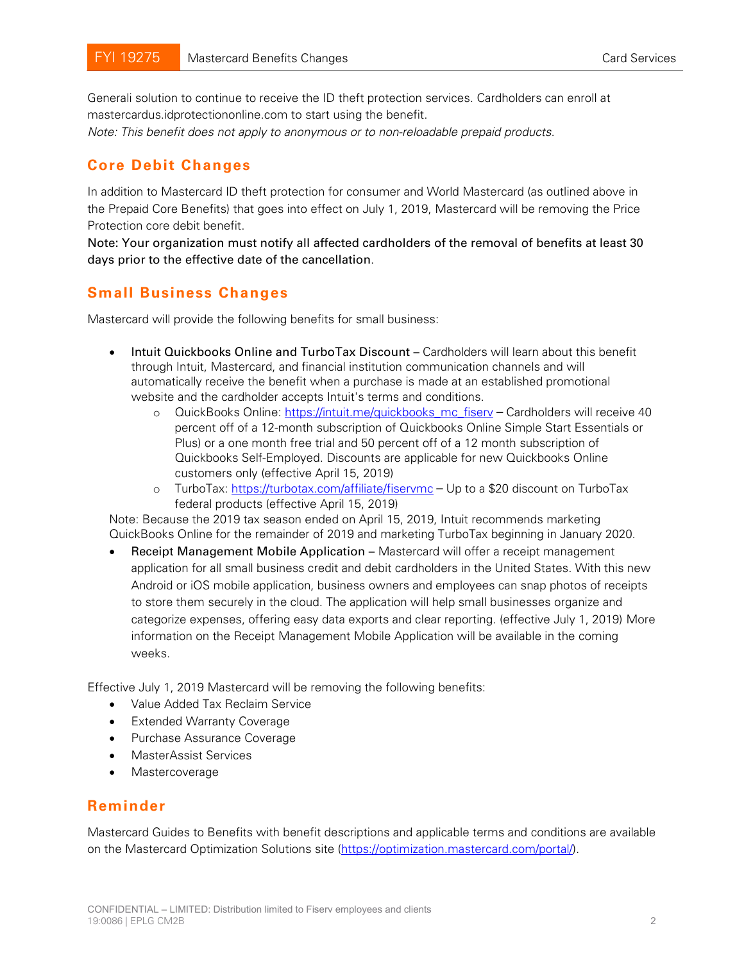Generali solution to continue to receive the ID theft protection services. Cardholders can enroll at mastercardus.idprotectiononline.com to start using the benefit.

*Note: This benefit does not apply to anonymous or to non-reloadable prepaid products*.

### **Core Debit Changes**

In addition to Mastercard ID theft protection for consumer and World Mastercard (as outlined above in the Prepaid Core Benefits) that goes into effect on July 1, 2019, Mastercard will be removing the Price Protection core debit benefit.

Note: Your organization must notify all affected cardholders of the removal of benefits at least 30 days prior to the effective date of the cancellation.

#### **Small Business Changes**

Mastercard will provide the following benefits for small business:

- Intuit Quickbooks Online and TurboTax Discount Cardholders will learn about this benefit through Intuit, Mastercard, and financial institution communication channels and will automatically receive the benefit when a purchase is made at an established promotional website and the cardholder accepts Intuit's terms and conditions.
	- o QuickBooks Online: [https://intuit.me/quickbooks\\_mc\\_fiserv](https://intuit.me/quickbooks_mc_fiserv) Cardholders will receive 40 percent off of a 12-month subscription of Quickbooks Online Simple Start Essentials or Plus) or a one month free trial and 50 percent off of a 12 month subscription of Quickbooks Self-Employed. Discounts are applicable for new Quickbooks Online customers only (effective April 15, 2019)
	- o TurboTax:<https://turbotax.com/affiliate/fiservmc> Up to a \$20 discount on TurboTax federal products (effective April 15, 2019)

Note: Because the 2019 tax season ended on April 15, 2019, Intuit recommends marketing QuickBooks Online for the remainder of 2019 and marketing TurboTax beginning in January 2020.

• Receipt Management Mobile Application – Mastercard will offer a receipt management application for all small business credit and debit cardholders in the United States. With this new Android or iOS mobile application, business owners and employees can snap photos of receipts to store them securely in the cloud. The application will help small businesses organize and categorize expenses, offering easy data exports and clear reporting. (effective July 1, 2019) More information on the Receipt Management Mobile Application will be available in the coming weeks.

Effective July 1, 2019 Mastercard will be removing the following benefits:

- Value Added Tax Reclaim Service
- Extended Warranty Coverage
- Purchase Assurance Coverage
- MasterAssist Services
- Mastercoverage

#### **Reminder**

Mastercard Guides to Benefits with benefit descriptions and applicable terms and conditions are available on the Mastercard Optimization Solutions site [\(https://optimization.mastercard.com/portal/\)](https://optimization.mastercard.com/portal/).